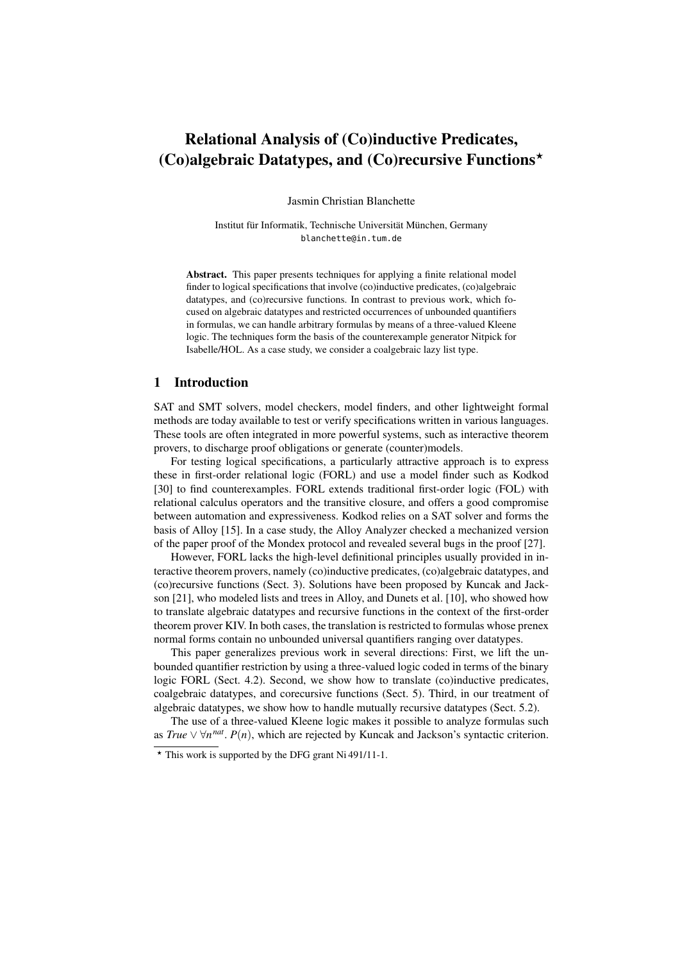# Relational Analysis of (Co)inductive Predicates, (Co)algebraic Datatypes, and (Co)recursive Functions<sup> $\star$ </sup>

Jasmin Christian Blanchette

Institut für Informatik, Technische Universität München, Germany blanchette@in.tum.de

Abstract. This paper presents techniques for applying a finite relational model finder to logical specifications that involve (co)inductive predicates, (co)algebraic datatypes, and (co)recursive functions. In contrast to previous work, which focused on algebraic datatypes and restricted occurrences of unbounded quantifiers in formulas, we can handle arbitrary formulas by means of a three-valued Kleene logic. The techniques form the basis of the counterexample generator Nitpick for Isabelle/HOL. As a case study, we consider a coalgebraic lazy list type.

# 1 Introduction

SAT and SMT solvers, model checkers, model finders, and other lightweight formal methods are today available to test or verify specifications written in various languages. These tools are often integrated in more powerful systems, such as interactive theorem provers, to discharge proof obligations or generate (counter)models.

For testing logical specifications, a particularly attractive approach is to express these in first-order relational logic (FORL) and use a model finder such as Kodkod [30] to find counterexamples. FORL extends traditional first-order logic (FOL) with relational calculus operators and the transitive closure, and offers a good compromise between automation and expressiveness. Kodkod relies on a SAT solver and forms the basis of Alloy [15]. In a case study, the Alloy Analyzer checked a mechanized version of the paper proof of the Mondex protocol and revealed several bugs in the proof [27].

However, FORL lacks the high-level definitional principles usually provided in interactive theorem provers, namely (co)inductive predicates, (co)algebraic datatypes, and (co)recursive functions (Sect. 3). Solutions have been proposed by Kuncak and Jackson [21], who modeled lists and trees in Alloy, and Dunets et al. [10], who showed how to translate algebraic datatypes and recursive functions in the context of the first-order theorem prover KIV. In both cases, the translation is restricted to formulas whose prenex normal forms contain no unbounded universal quantifiers ranging over datatypes.

This paper generalizes previous work in several directions: First, we lift the unbounded quantifier restriction by using a three-valued logic coded in terms of the binary logic FORL (Sect. 4.2). Second, we show how to translate (co)inductive predicates, coalgebraic datatypes, and corecursive functions (Sect. 5). Third, in our treatment of algebraic datatypes, we show how to handle mutually recursive datatypes (Sect. 5.2).

The use of a three-valued Kleene logic makes it possible to analyze formulas such as *True*  $\vee \forall n^{nat}$ . *P*(*n*), which are rejected by Kuncak and Jackson's syntactic criterion.

<sup>?</sup> This work is supported by the DFG grant Ni 491/11-1.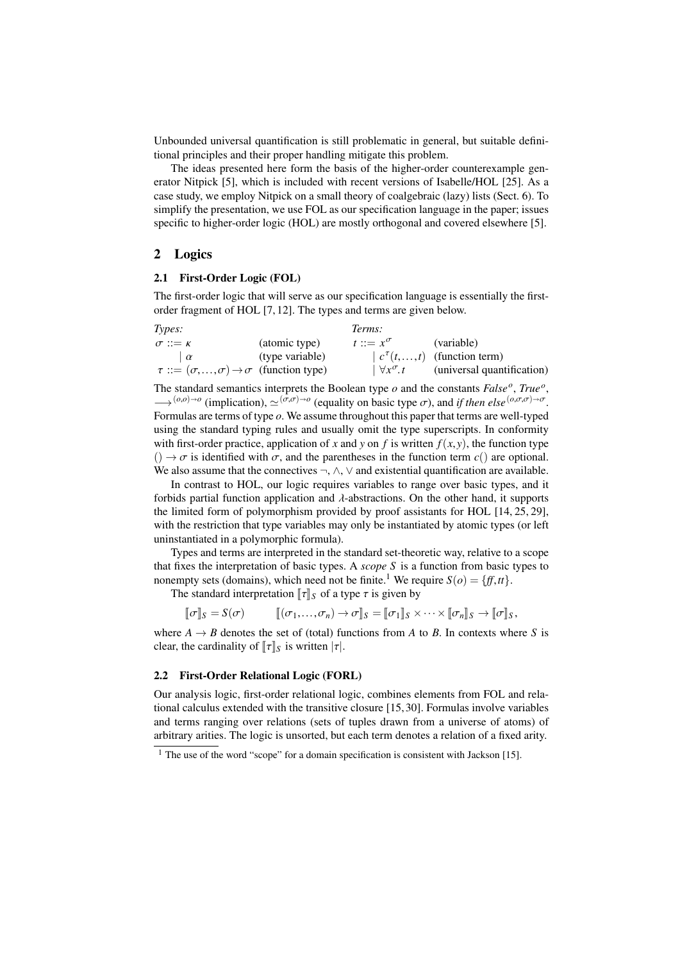Unbounded universal quantification is still problematic in general, but suitable definitional principles and their proper handling mitigate this problem.

The ideas presented here form the basis of the higher-order counterexample generator Nitpick [5], which is included with recent versions of Isabelle/HOL [25]. As a case study, we employ Nitpick on a small theory of coalgebraic (lazy) lists (Sect. 6). To simplify the presentation, we use FOL as our specification language in the paper; issues specific to higher-order logic (HOL) are mostly orthogonal and covered elsewhere [5].

# 2 Logics

#### 2.1 First-Order Logic (FOL)

The first-order logic that will serve as our specification language is essentially the firstorder fragment of HOL [7, 12]. The types and terms are given below.

| Types:                                                           |                 | Terms:                  |                                                         |
|------------------------------------------------------------------|-----------------|-------------------------|---------------------------------------------------------|
| $\sigma ::= \kappa$                                              | (atomic type)   | $t ::= x^{\sigma}$      | (variable)                                              |
| $\alpha$                                                         | (type variable) |                         | $\left  c^{\tau}(t, \ldots, t) \right $ (function term) |
| $\tau ::= (\sigma, , \sigma) \rightarrow \sigma$ (function type) |                 | $\forall x^{\sigma}$ .t | (universal quantification)                              |
|                                                                  |                 |                         |                                                         |

The standard semantics interprets the Boolean type *o* and the constants *False<sup>o</sup>* , *True<sup>o</sup>* ,  $\rightarrow$  (*o*,*o*)→*o* (implication),  $\approx$  ( $\sigma$ ,*σ*)→*o*</sup> (equality on basic type *σ*), and *if then else* (*o*,σ,*σ*)→*σ*.<br>Formulas are terms of type *o*. We assume throughout this paper that terms are well-typed Formulas are terms of type *o*. We assume throughout this paper that terms are well-typed using the standard typing rules and usually omit the type superscripts. In conformity with first-order practice, application of *x* and *y* on *f* is written  $f(x, y)$ , the function type  $(\cdot) \rightarrow \sigma$  is identified with  $\sigma$ , and the parentheses in the function term  $c()$  are optional. We also assume that the connectives  $\neg$ ,  $\wedge$ ,  $\vee$  and existential quantification are available.

In contrast to HOL, our logic requires variables to range over basic types, and it forbids partial function application and  $\lambda$ -abstractions. On the other hand, it supports the limited form of polymorphism provided by proof assistants for HOL [14, 25, 29], with the restriction that type variables may only be instantiated by atomic types (or left uninstantiated in a polymorphic formula).

Types and terms are interpreted in the standard set-theoretic way, relative to a scope that fixes the interpretation of basic types. A *scope S* is a function from basic types to nonempty sets (domains), which need not be finite.<sup>1</sup> We require  $S(o) = \{ff, tt\}$ .

The standard interpretation  $\llbracket \tau \rrbracket_S$  of a type  $\tau$  is given by

$$
[\![\sigma]\!]_S = S(\sigma) \qquad [\![(\sigma_1,\ldots,\sigma_n)\!\rightarrow\sigma]\!]_S = [\![\sigma_1]\!]_S \times \cdots \times [\![\sigma_n]\!]_S \to [\![\sigma]\!]_S,
$$

where  $A \rightarrow B$  denotes the set of (total) functions from *A* to *B*. In contexts where *S* is clear, the cardinality of  $\llbracket \tau \rrbracket_S$  is written  $|\tau|$ .

#### 2.2 First-Order Relational Logic (FORL)

Our analysis logic, first-order relational logic, combines elements from FOL and relational calculus extended with the transitive closure [15, 30]. Formulas involve variables and terms ranging over relations (sets of tuples drawn from a universe of atoms) of arbitrary arities. The logic is unsorted, but each term denotes a relation of a fixed arity.

 $1$  The use of the word "scope" for a domain specification is consistent with Jackson [15].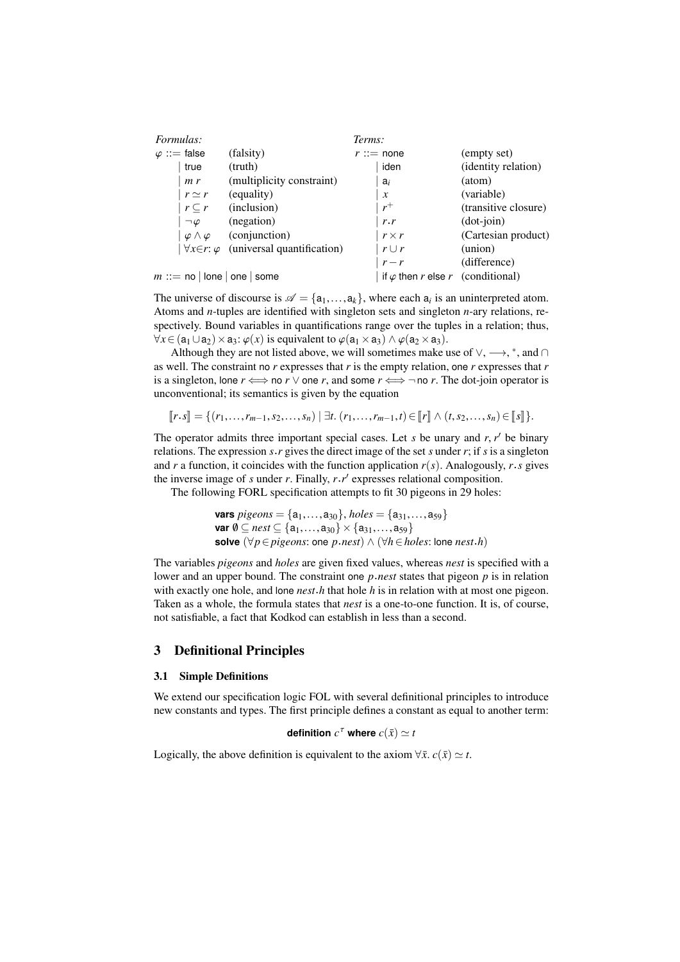| <i>Formulas:</i>         |                                                          | Terms:                                   |                      |
|--------------------------|----------------------------------------------------------|------------------------------------------|----------------------|
| $\varphi ::=$ false      | (falsity)                                                | $r ::=$ none                             | (empty set)          |
| true                     | (truth)                                                  | iden                                     | (identity relation)  |
| m r                      | (multiplicity constraint)                                | $a_i$                                    | (atom)               |
| $r \simeq r$             | (equality)                                               | $\mathcal{X}$                            | (variable)           |
| $r\subset r$             | (inclusion)                                              | $r^+$                                    | (transitive closure) |
| $\neg \varphi$           | (negation)                                               | r.r                                      | $(dot-join)$         |
| $\varphi \wedge \varphi$ | (conjunction)                                            | $r \times r$                             | (Cartesian product)  |
|                          | $\forall x \in r$ : $\varphi$ (universal quantification) | $r \cup r$                               | (union)              |
|                          |                                                          | $r - r$                                  | (difference)         |
| $m ::=$ no   lone   one  | some                                                     | if $\varphi$ then r else r (conditional) |                      |

The universe of discourse is  $\mathcal{A} = \{a_1, \ldots, a_k\}$ , where each  $a_i$  is an uninterpreted atom.<br>Atoms and *n*-tuples are identified with singleton sets and singleton *n*-ary relations re-Atoms and *n*-tuples are identified with singleton sets and singleton *n*-ary relations, respectively. Bound variables in quantifications range over the tuples in a relation; thus,  $\forall x \in (a_1 \cup a_2) \times a_3$ :  $\varphi(x)$  is equivalent to  $\varphi(a_1 \times a_3) \wedge \varphi(a_2 \times a_3)$ .

Although they are not listed above, we will sometimes make use of  $\vee, \longrightarrow, ^*$ , and  $\cap$ as well. The constraint no *r* expresses that *r* is the empty relation, one *r* expresses that *r* is a singleton, lone  $r \iff$  no  $r \lor$  one  $r$ , and some  $r \iff \neg$  no  $r$ . The dot-join operator is unconventional; its semantics is given by the equation

$$
[[r\cdot s]] = \{ (r_1,\ldots,r_{m-1},s_2,\ldots,s_n) \mid \exists t. (r_1,\ldots,r_{m-1},t) \in [[r]] \wedge (t,s_2,\ldots,s_n) \in [[s]] \}.
$$

The operator admits three important special cases. Let *s* be unary and *r*,  $r'$  be binary relations. The expression *s r* gives the direct image of the set *s* under *r*; if *s* is a singleton relations. The expression *s*.*r* gives the direct image of the set *s* under *r*; if *s* is a singleton and *r* a function, it coincides with the function application  $r(s)$ . Analogously, *r*.*s* gives the inverse image of  $s$  under  $r$ . Finally,  $r \cdot r'$  expresses relational composition.

The following FORL specification attempts to fit 30 pigeons in 29 holes:

```
vars pigeons = \{a_1, \ldots, a_{30}\}, \text{holes} = \{a_{31}, \ldots, a_{59}\}var \emptyset ⊆ nest ⊆ {a<sub>1</sub>,...,a<sub>30</sub>} × {a<sub>31</sub>,...,a<sub>59</sub>}
solve (∀p∈pigeons: one p.nest) ∧ (∀h∈holes: lone nest.h)
```
The variables *pigeons* and *holes* are given fixed values, whereas *nest* is specified with a lower and an upper bound. The constraint one *p*.*nest* states that pigeon *p* is in relation with exactly one hole, and lone *nest*.*h* that hole *h* is in relation with at most one pigeon. Taken as a whole, the formula states that *nest* is a one-to-one function. It is, of course, not satisfiable, a fact that Kodkod can establish in less than a second.

## 3 Definitional Principles

#### 3.1 Simple Definitions

We extend our specification logic FOL with several definitional principles to introduce new constants and types. The first principle defines a constant as equal to another term:

definition 
$$
c^{\tau}
$$
 where  $c(\bar{x}) \simeq t$ 

Logically, the above definition is equivalent to the axiom  $\forall \bar{x} \cdot c(\bar{x}) \simeq t$ .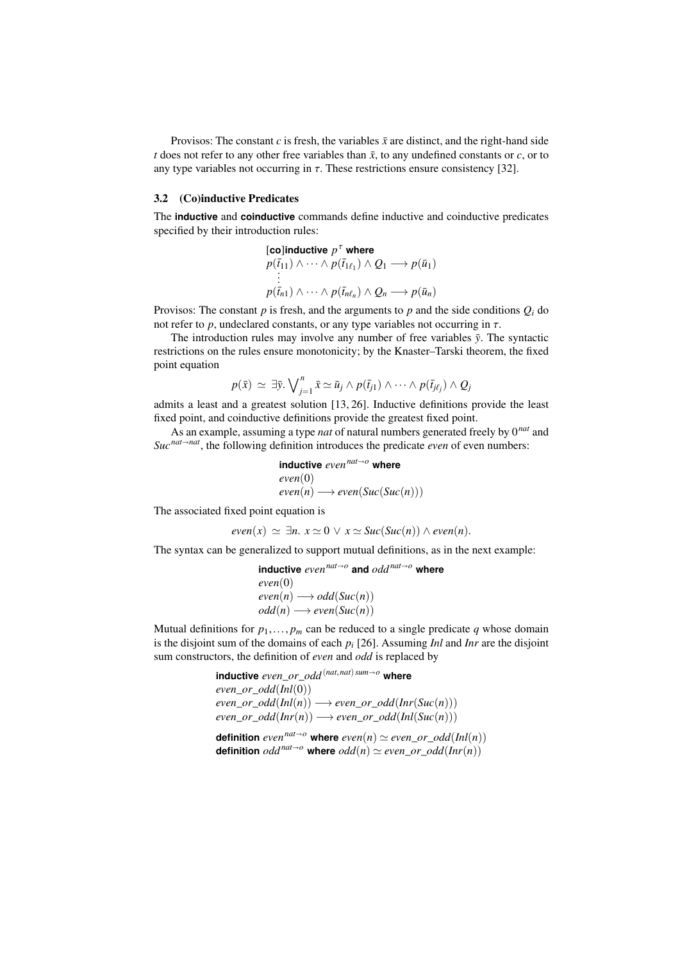Provisos: The constant  $c$  is fresh, the variables  $\bar{x}$  are distinct, and the right-hand side *t* does not refer to any other free variables than  $\bar{x}$ , to any undefined constants or *c*, or to any type variables not occurring in  $\tau$ . These restrictions ensure consistency [32].

#### 3.2 (Co)inductive Predicates

The **inductive** and **coinductive** commands define inductive and coinductive predicates specified by their introduction rules:

[co]inductive 
$$
p^{\tau}
$$
 where  
\n $p(\bar{t}_{11}) \wedge \cdots \wedge p(\bar{t}_{1\ell_1}) \wedge Q_1 \longrightarrow p(\bar{u}_1)$   
\n:  
\n $p(\bar{t}_{n1}) \wedge \cdots \wedge p(\bar{t}_{n\ell_n}) \wedge Q_n \longrightarrow p(\bar{u}_n)$ 

Provisos: The constant  $p$  is fresh, and the arguments to  $p$  and the side conditions  $Q_i$  do not refer to  $p$ , undeclared constants, or any type variables not occurring in  $\tau$ .

The introduction rules may involve any number of free variables  $\bar{y}$ . The syntactic restrictions on the rules ensure monotonicity; by the Knaster–Tarski theorem, the fixed point equation

$$
p(\bar{x}) \simeq \exists \bar{y}.\bigvee_{j=1}^{n} \bar{x} \simeq \bar{u}_j \wedge p(\bar{t}_{j1}) \wedge \cdots \wedge p(\bar{t}_{j\ell_j}) \wedge Q_j
$$

admits a least and a greatest solution [13, 26]. Inductive definitions provide the least fixed point, and coinductive definitions provide the greatest fixed point.

As an example, assuming a type *nat* of natural numbers generated freely by 0*nat* and  $Suc^{nat \rightarrow nat}$ , the following definition introduces the predicate *even* of even numbers:

$$
\begin{array}{ll}\n\text{inductive even}^{nat \to o} \text{ where} \\
\text{even}(0) \\
\text{even}(n) \longrightarrow \text{even}(Suc(Suc(n)))\n\end{array}
$$

The associated fixed point equation is

 $even(x) \simeq \exists n. \ x \simeq 0 \ \lor \ x \simeq \text{Suc}(\text{Suc}(n)) \land \text{even}(n).$ 

The syntax can be generalized to support mutual definitions, as in the next example:

```
inductive evennato
and oddnato where
even(0)
even(n) \longrightarrow odd(Suc(n))odd(n) \longrightarrow even(Suc(n))
```
Mutual definitions for  $p_1, \ldots, p_m$  can be reduced to a single predicate  $q$  whose domain is the disjoint sum of the domains of each *p<sup>i</sup>* [26]. Assuming *Inl* and *Inr* are the disjoint sum constructors, the definition of *even* and *odd* is replaced by

```
inductive even_or_odd(nat,nat)sumo where
even or odd(\text{Inl}(0))even\_or\_odd(Inl(n)) \longrightarrow even\_or\_odd(Inr(Suc(n)))even\_or\_odd(Inf(n)) \longrightarrow even\_or\_odd(Inf(Suc(n)))definition even<sup>nat\rightarrowo where even(n) \simeq even or odd(Inl(n))</sup>
```

```
definition odd^{nat\rightarrow o} where odd(n) \simeq even\_or\_odd(Inr(n))
```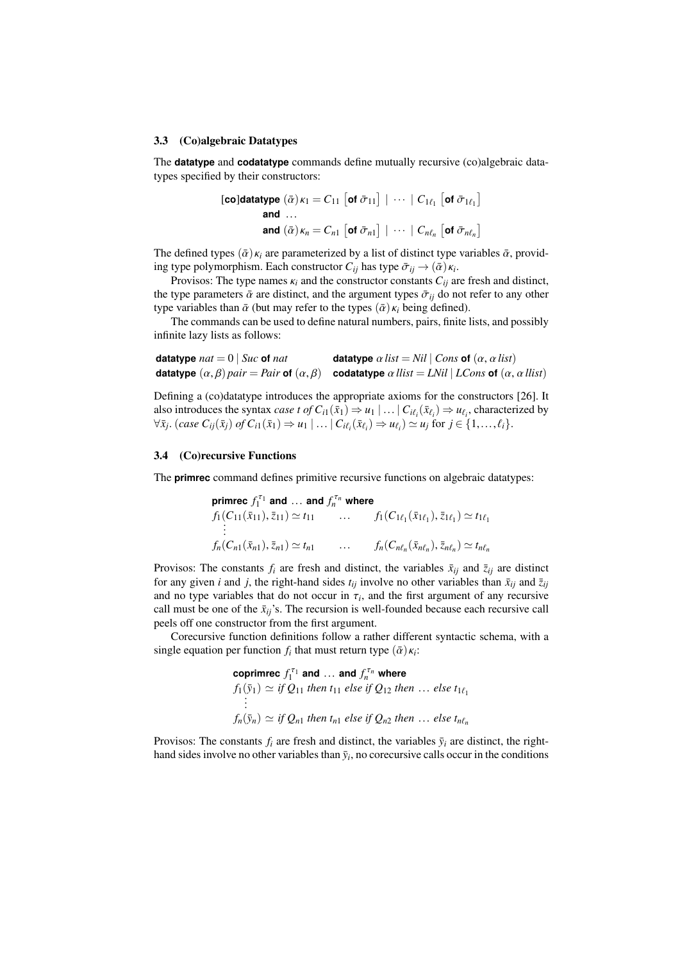#### 3.3 (Co)algebraic Datatypes

The **datatype** and **codatatype** commands define mutually recursive (co)algebraic datatypes specified by their constructors:

$$
\begin{aligned}\n\textbf{[co]} \textbf{datatype} \ (\bar{\alpha})_{K_1} &= C_{11} \ [\textbf{of } \bar{\sigma}_{11}] \ | \ \cdots \ | \ C_{1\ell_1} \ [\textbf{of } \bar{\sigma}_{1\ell_1}] \\
\textbf{and} \ \ldots \\
\textbf{and} \ (\bar{\alpha})_{K_n} &= C_{n1} \ [\textbf{of } \bar{\sigma}_{n1}] \ | \ \cdots \ | \ C_{n\ell_n} \ [\textbf{of } \bar{\sigma}_{n\ell_n}]\n\end{aligned}
$$

The defined types  $(\bar{\alpha}) \kappa_i$  are parameterized by a list of distinct type variables  $\bar{\alpha}$ , providing type polymorphism. Each constructor  $C_{ij}$  has type  $\bar{\sigma}_{ij} \rightarrow (\bar{\alpha}) \kappa_i$ .<br>Provisos: The type names  $\kappa_i$  and the constructor constants  $C_{ij}$  and

Provisos: The type names  $\kappa_i$  and the constructor constants  $C_{ij}$  are fresh and distinct, the type parameters  $\bar{\alpha}$  are distinct, and the argument types  $\bar{\sigma}_{ij}$  do not refer to any other type variables than  $\bar{\alpha}$  (but may refer to the types  $(\bar{\alpha})\kappa_i$  being defined).

The commands can be used to define natural numbers, pairs, finite lists, and possibly infinite lazy lists as follows:

| datatype $nat = 0$ $Suc$ of nat | datatype $\alpha$ list = Nil   Cons of $(\alpha, \alpha$ list)                                                                   |
|---------------------------------|----------------------------------------------------------------------------------------------------------------------------------|
|                                 | datatype $(\alpha, \beta)$ pair = Pair of $(\alpha, \beta)$ codatatype $\alpha$ llist = LNil   LCons of $(\alpha, \alpha$ llist) |

Defining a (co)datatype introduces the appropriate axioms for the constructors [26]. It also introduces the syntax *case t* of  $C_{i1}(\bar{x}_1) \Rightarrow u_1 | \dots | C_{i\ell_i}(\bar{x}_{\ell_i}) \Rightarrow u_{\ell_i}$ , characterized by<br>  $\forall \bar{x}$ .  $(\text{case } C_{i1}(\bar{x}_1) \text{ of } C_{i1}(\bar{x}_1) \Rightarrow u_1 | \dots | C_{i\ell_i}(\bar{x}_\ell) \Rightarrow u_{\ell_i} \Rightarrow u_{\ell_i}$  for  $i \in \{1, \dots, \ell_i\}$  $\forall \bar{x}_j.$  (case  $C_{ij}(\bar{x}_j)$  of  $C_{i1}(\bar{x}_1) \Rightarrow u_1 \mid \dots \mid C_{i\ell_i}(\bar{x}_{\ell_i}) \Rightarrow u_{\ell_i} \rangle \simeq u_j$  for  $j \in \{1, \dots, \ell_i\}.$ 

## 3.4 (Co)recursive Functions

The **primrec** command defines primitive recursive functions on algebraic datatypes:

$$
\begin{aligned}\n\text{prime } & \mathcal{F}_1^{\tau_1} \text{ and } \dots \text{ and } & \mathcal{F}_n^{\tau_n} \text{ where} \\
& f_1(C_{11}(\bar{x}_{11}), \bar{z}_{11}) \simeq t_{11} \qquad \qquad \dots \qquad f_1(C_{1\ell_1}(\bar{x}_{1\ell_1}), \bar{z}_{1\ell_1}) \simeq t_{1\ell_1} \\
& \vdots \\
& f_n(C_{n1}(\bar{x}_{n1}), \bar{z}_{n1}) \simeq t_{n1} \qquad \qquad \dots \qquad f_n(C_{n\ell_n}(\bar{x}_{n\ell_n}), \bar{z}_{n\ell_n}) \simeq t_{n\ell_n}\n\end{aligned}
$$

Provisos: The constants  $f_i$  are fresh and distinct, the variables  $\bar{x}_{ij}$  and  $\bar{z}_{ij}$  are distinct for any given *i* and *j*, the right-hand sides  $t_{ij}$  involve no other variables than  $\bar{x}_{ij}$  and  $\bar{z}_{ij}$ and no type variables that do not occur in  $\tau_i$ , and the first argument of any recursive<br>call must be one of the  $\bar{\mathbf{r}}$ ...'s. The recursion is well-founded because each recursive call call must be one of the  $\bar{x}_{ij}$ 's. The recursion is well-founded because each recursive call peels off one constructor from the first argument.

Corecursive function definitions follow a rather different syntactic schema, with a single equation per function  $f_i$  that must return type  $(\bar{\alpha})\kappa_i$ :

**coprimec** 
$$
f_1^{\tau_1}
$$
 **and** ... **and**  $f_n^{\tau_n}$  **where**  
\n $f_1(\bar{y}_1) \simeq if Q_{11}$  *then*  $t_{11}$  *else if*  $Q_{12}$  *then* ... *else*  $t_{1\ell_1}$   
\n:  
\n $f_n(\bar{y}_n) \simeq if Q_{n1}$  *then*  $t_{n1}$  *else if*  $Q_{n2}$  *then* ... *else*  $t_{n\ell_n}$ 

Provisos: The constants  $f_i$  are fresh and distinct, the variables  $\bar{y}_i$  are distinct, the righthand sides involve no other variables than  $\bar{y}_i$ , no corecursive calls occur in the conditions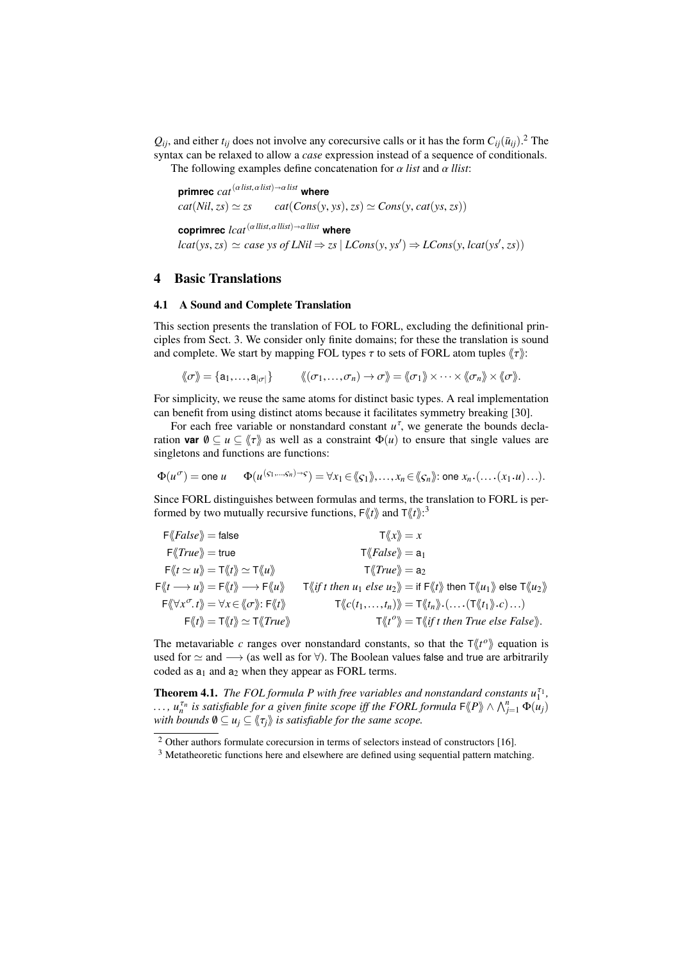$Q_{ij}$ , and either  $t_{ij}$  does not involve any corecursive calls or it has the form  $C_{ij}(\bar{u}_{ij})$ .<sup>2</sup> The syntax can be relaxed to allow a *case* expression instead of a sequence of conditionals. The following examples define concatenation for  $\alpha$  *list* and  $\alpha$  *llist*:

**primrec**  $cat^{(\alpha\text{ list}, \alpha\text{ list})\rightarrow\alpha\text{ list}}$  where  $cat(Nil, zs) \simeq zs \qquad cat(Cons(y, ys), zs) \simeq Cons(y, cat(ys, zs))$ **coprimrec**  $lcat^{(\alpha\,llist,\alpha\,llist)}\rightarrow \alpha\,llist}$  where  $lcat(ys, zs) \simeq case \ ys \ of \ LNil \Rightarrow zs \ | \ LCons(y, ys') \Rightarrow LCons(y, lcat(ys', zs))$ 

## 4 Basic Translations

#### 4.1 A Sound and Complete Translation

This section presents the translation of FOL to FORL, excluding the definitional principles from Sect. 3. We consider only finite domains; for these the translation is sound and complete. We start by mapping FOL types  $\tau$  to sets of FORL atom tuples  $\langle \tau \rangle$ :

$$
\langle\!\langle \sigma\rangle\!\rangle = \{a_1,\ldots,a_{|\sigma|}\}\qquad \langle\!\langle (\sigma_1,\ldots,\sigma_n)\rightarrow \sigma\rangle\!\rangle = \langle\!\langle \sigma_1\rangle\!\rangle \times \cdots \times \langle\!\langle \sigma_n\rangle\!\rangle \times \langle\!\langle \sigma\rangle\!\rangle.
$$

For simplicity, we reuse the same atoms for distinct basic types. A real implementation can benefit from using distinct atoms because it facilitates symmetry breaking [30].

For each free variable or nonstandard constant  $u^{\tau}$ , we generate the bounds declaration **var**  $\emptyset \subseteq u \subseteq \langle \tau \rangle$  as well as a constraint  $\Phi(u)$  to ensure that single values are singletons and functions are functions:

$$
\Phi(u^{\sigma}) = \text{one } u \qquad \Phi(u^{(s_1,\ldots,s_n)\to s}) = \forall x_1 \in \langle\!\langle s_1 \rangle\!\rangle, \ldots, x_n \in \langle\!\langle s_n \rangle\!\rangle; \text{ one } x_n \cdot (\ldots (x_1 \cdot u) \ldots).
$$

Since FORL distinguishes between formulas and terms, the translation to FORL is performed by two mutually recursive functions,  $F\langle\!\langle t \rangle\!\rangle$  and  $T\langle\!\langle t \rangle\!\rangle$ :<sup>3</sup>

| $F\langle False \rangle = false$                                                                                                                                           | $\mathsf{T}\langle\!\langle x \rangle\!\rangle = x$                                                                                                                                                                                                                                   |
|----------------------------------------------------------------------------------------------------------------------------------------------------------------------------|---------------------------------------------------------------------------------------------------------------------------------------------------------------------------------------------------------------------------------------------------------------------------------------|
| $F\langle True \rangle = true$                                                                                                                                             | $\mathsf{T}\langle False \rangle = \mathsf{a}_1$                                                                                                                                                                                                                                      |
| $\mathsf{F}\langle\!\langle t \simeq u \rangle\!\rangle = \mathsf{T}\langle\!\langle t \rangle\!\rangle \simeq \mathsf{T}\langle\!\langle u \rangle\!\rangle$              | $T\langle True \rangle = a_2$                                                                                                                                                                                                                                                         |
| $F\langle\!\langle t\longrightarrow u\rangle\!\rangle = F\langle\!\langle t\rangle\!\rangle \longrightarrow F\langle\!\langle u\rangle\!\rangle$                           | $\mathsf{T}\langle\!\langle \text{if } t \text{ then } u_1 \text{ else } u_2 \rangle\!\rangle = \text{if } \mathsf{F}\langle\!\langle t \rangle\!\rangle \text{ then } \mathsf{T}\langle\!\langle u_1 \rangle\!\rangle \text{ else } \mathsf{T}\langle\!\langle u_2 \rangle\!\rangle$ |
| $\mathsf{F}\langle\!\langle \forall x^\sigma\!,t\rangle\!\rangle = \forall x \in \langle\!\langle \sigma \rangle\!\rangle\!:\mathsf{F}\langle\!\langle t \rangle\!\rangle$ | $\mathsf{T}\langle\!\langle c(t_1,\ldots,t_n)\rangle\!\rangle = \mathsf{T}\langle\!\langle t_n\rangle\!\rangle \cdot (\ldots \cdot (\mathsf{T}\langle\!\langle t_1\rangle\!\rangle \cdot c)\ldots)$                                                                                   |
| $\mathsf{F}\langle\!\langle t\rangle\!\rangle = \mathsf{T}\langle\!\langle t\rangle\!\rangle \simeq \mathsf{T}\langle\!\langle \mathit{True}\rangle\!\rangle$              | $\mathsf{T}\langle \langle t^o \rangle \rangle = \mathsf{T}\langle \langle \langle t \rangle \rangle$ then True else False $\rangle \rangle$ .                                                                                                                                        |
|                                                                                                                                                                            |                                                                                                                                                                                                                                                                                       |

The metavariable *c* ranges over nonstandard constants, so that the  $\tau \langle t^{\circ} \rangle$  equation is used for  $\simeq$  and  $\rightarrow$  (as well as for  $\forall$ ). The Boolean values false and true are arbitrarily coded as  $a_1$  and  $a_2$  when they appear as FORL terms.

**Theorem 4.1.** *The FOL formula P with free variables and nonstandard constants*  $u_1^{\tau_1}$ ,  $\ldots$ ,  $u_n^{\tau_n}$  is satisfiable for a given finite scope iff the FORL formula  $\mathsf{F}\langle\!\langle P \rangle\!\rangle \wedge \bigwedge_{j=1}^n \Phi(u_j)$ *with bounds*  $\emptyset \subseteq u_i \subseteq \langle \tau_i \rangle$  *is satisfiable for the same scope.* 

<sup>&</sup>lt;sup>2</sup> Other authors formulate corecursion in terms of selectors instead of constructors [16].

<sup>3</sup> Metatheoretic functions here and elsewhere are defined using sequential pattern matching.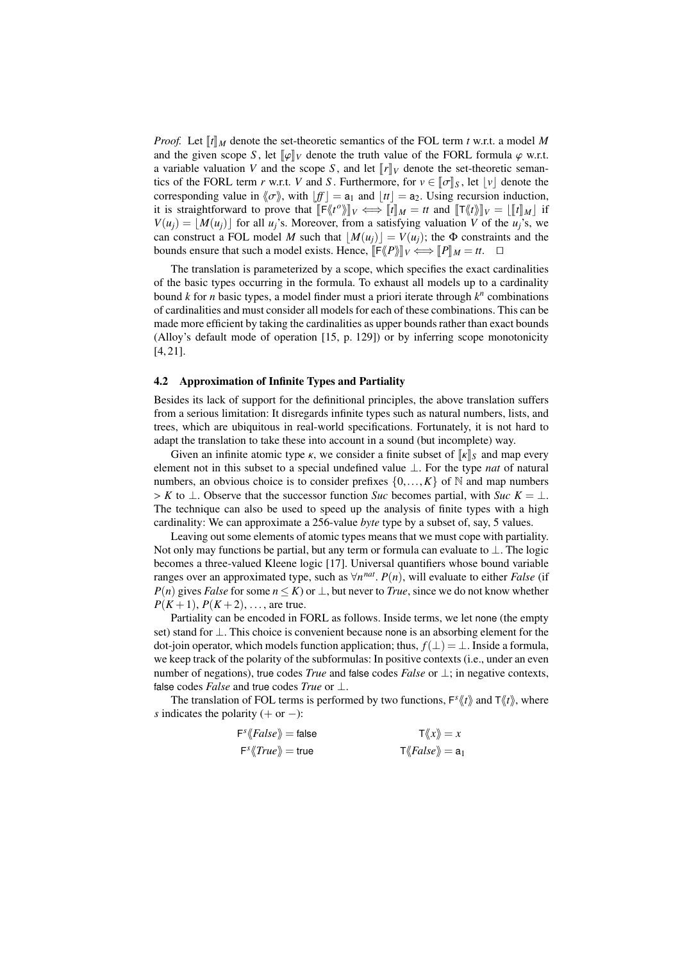*Proof.* Let  $[[t]]_M$  denote the set-theoretic semantics of the FOL term *t* w.r.t. a model M and the given scope *S*, let  $\llbracket \varphi \rrbracket_V$  denote the truth value of the FORL formula  $\varphi$  w.r.t. a variable valuation *V* and the scope *S*, and let  $\llbracket r \rrbracket_V$  denote the set-theoretic semantics of the FORL term *r* w.r.t. *V* and *S*. Furthermore, for  $v \in [\sigma]_S$ , let  $|v|$  denote the corresponding value in  $\langle \sigma \rangle$ , with  $|f| = a_1$  and  $|t| = a_2$ . Using recursion induction, it is straightforward to prove that  $\llbracket \mathsf{F} \langle t^o \rangle \rrbracket_V \Longleftrightarrow \llbracket t \rrbracket_M = tt$  and  $\llbracket \mathsf{T} \langle t \rangle \rrbracket_V = \llbracket [t] \rrbracket_M$  if  $V(u) = \mathsf{M}(u)$  for all  $u \geq \mathsf{Moreover}$  from a satisfying voluption  $V$  of the  $u \geq \mathsf{Moreleft}$  $V(u_i) = |M(u_i)|$  for all *u<sub>j</sub>*'s. Moreover, from a satisfying valuation *V* of the *u<sub>j</sub>*'s, we can construct a FOL model *M* such that  $|M(u_i)| = V(u_i)$ ; the  $\Phi$  constraints and the bounds ensure that such a model exists. Hence,  $\llbracket \mathsf{F}\langle \mathsf{P} \rangle \rrbracket_V \Longleftrightarrow \llbracket P \rrbracket_M = tt.$ 

The translation is parameterized by a scope, which specifies the exact cardinalities of the basic types occurring in the formula. To exhaust all models up to a cardinality bound *k* for *n* basic types, a model finder must a priori iterate through *k n* combinations of cardinalities and must consider all models for each of these combinations. This can be made more efficient by taking the cardinalities as upper bounds rather than exact bounds (Alloy's default mode of operation [15, p. 129]) or by inferring scope monotonicity [4, 21].

## 4.2 Approximation of Infinite Types and Partiality

Besides its lack of support for the definitional principles, the above translation suffers from a serious limitation: It disregards infinite types such as natural numbers, lists, and trees, which are ubiquitous in real-world specifications. Fortunately, it is not hard to adapt the translation to take these into account in a sound (but incomplete) way.

Given an infinite atomic type  $\kappa$ , we consider a finite subset of  $\|\kappa\|_S$  and map every element not in this subset to a special undefined value ⊥. For the type *nat* of natural numbers, an obvious choice is to consider prefixes  $\{0, \ldots, K\}$  of N and map numbers  $> K$  to  $\perp$ . Observe that the successor function *Suc* becomes partial, with *Suc*  $K = \perp$ . The technique can also be used to speed up the analysis of finite types with a high cardinality: We can approximate a 256-value *byte* type by a subset of, say, 5 values.

Leaving out some elements of atomic types means that we must cope with partiality. Not only may functions be partial, but any term or formula can evaluate to ⊥. The logic becomes a three-valued Kleene logic [17]. Universal quantifiers whose bound variable ranges over an approximated type, such as  $\forall n^{nat}$ .  $P(n)$ , will evaluate to either *False* (if  $P(n)$  gives *False* for some  $n \leq K$ ) or  $\perp$  but never to *True*, since we do not know whether *P*(*n*) gives *False* for some *n* ≤ *K*) or  $\bot$ , but never to *True*, since we do not know whether  $P(K+1), P(K+2), \ldots$ , are true.

Partiality can be encoded in FORL as follows. Inside terms, we let none (the empty set) stand for ⊥. This choice is convenient because none is an absorbing element for the dot-join operator, which models function application; thus,  $f(\perp) = \perp$ . Inside a formula, we keep track of the polarity of the subformulas: In positive contexts (i.e., under an even number of negations), true codes *True* and false codes *False* or ⊥; in negative contexts, false codes *False* and true codes *True* or ⊥.

The translation of FOL terms is performed by two functions,  $F^{s}(t)$  and  $T(t)$ , where *s* indicates the polarity (+ or −):

$$
\begin{aligned}\n\mathsf{F}^s \langle False \rangle &= \mathsf{false} \\
\mathsf{F}^s \langle True \rangle &= \mathsf{true} \\
\mathsf{F}^s \langle True \rangle &= \mathsf{true}\n\end{aligned}\n\qquad\n\begin{aligned}\n\mathsf{T} \langle \langle x \rangle \rangle &= x \\
\mathsf{T} \langle False \rangle &= \mathsf{a}_1\n\end{aligned}
$$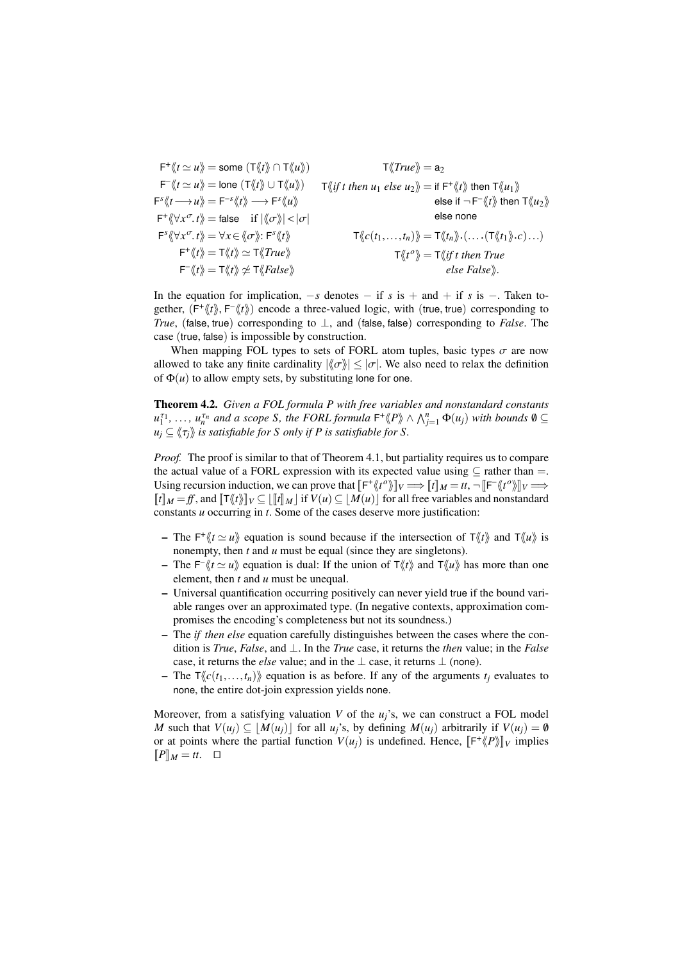$$
F^*\langle t \simeq u \rangle = \text{some } (T \langle t \rangle \cap T \langle u \rangle) \qquad T \langle True \rangle = a_2
$$
  
\n
$$
F^*\langle t \simeq u \rangle = \text{none } (T \langle t \rangle \cup T \langle u \rangle) \qquad T \langle \langle if \text{ then } u_1 \text{ else } u_2 \rangle = \text{if } F^*\langle t \rangle \text{ then } T \langle u_1 \rangle
$$
  
\n
$$
F^*\langle t \to u \rangle = F^{-s} \langle t \rangle \longrightarrow F^s \langle u \rangle \qquad \text{else if } -F^-\langle t \rangle \text{ then } T \langle u_2 \rangle
$$
  
\n
$$
F^*\langle \forall x^\sigma. t \rangle = \text{false} \quad \text{if } |\langle \sigma \rangle| < |\sigma| \qquad \text{else none}
$$
  
\n
$$
F^s \langle \forall x^\sigma. t \rangle = \forall x \in \langle \sigma \rangle : F^s \langle t \rangle \qquad T \langle \langle c(t_1, ..., t_n) \rangle = T \langle \langle t_n \rangle \cdot (... \cdot (T \langle t_1 \rangle \cdot c) ...)
$$
  
\n
$$
F^*\langle t \rangle = T \langle t \rangle \approx T \langle True \rangle \qquad T \langle \langle t \rangle = T \langle \langle t \rangle \rangle = T \langle \langle t \rangle \rangle = T \langle \langle t \rangle \rangle
$$
  
\n
$$
F^*\langle t \rangle = T \langle t \rangle \not\sim T \langle False \rangle \qquad \text{else False}.
$$

In the equation for implication,  $-s$  denotes  $-$  if *s* is  $+$  and  $+$  if *s* is  $-$ . Taken together,  $(F^* \langle t \rangle, F^* \langle t \rangle)$  encode a three-valued logic, with (true, true) corresponding to  $T_{\text{true}}$  (false true) corresponding to  $\vert$  and (false false) corresponding to *False*. The *True*, (false, true) corresponding to <sup>⊥</sup>, and (false, false) corresponding to *False*. The case (true, false) is impossible by construction.

When mapping FOL types to sets of FORL atom tuples, basic types  $\sigma$  are now allowed to take any finite cardinality  $\|\langle \sigma \rangle| \leq |\sigma|$ . We also need to relax the definition of  $\Phi(u)$  to allow empty sets, by substituting lone for one.

Theorem 4.2. *Given a FOL formula P with free variables and nonstandard constants*  $u_1^{\tau_1}, \ldots, u_n^{\tau_n}$  and a scope *S*, the FORL formula  $\mathsf{F}^+\langle\!\langle P \rangle\!\rangle \wedge \bigwedge_{j=1}^n \Phi(u_j)$  with bounds  $\emptyset \subseteq$  $u_i \subset \langle \langle \tau_i \rangle \rangle$  *is satisfiable for S only if P is satisfiable for S*.

*Proof.* The proof is similar to that of Theorem 4.1, but partiality requires us to compare the actual value of a FORL expression with its expected value using  $\subseteq$  rather than =. Using recursion induction, we can prove that  $\llbracket F^* \langle h^{\prime} v \rangle \rrbracket_V \Longrightarrow \llbracket t \rrbracket_M = tt, \neg \llbracket F^* \langle h^{\prime} v \rangle \rrbracket_V \Longrightarrow$  $[\![t]\!]_M = ff$ , and  $[\![T\langle t \rangle]\!]_V \subseteq [\![t]\!]_M |$  if  $V(u) \subseteq |M(u)|$  for all free variables and nonstandard constants *u* occurring in *t*. Some of the cases deserve more justification:

- The  $F^{\dagger} \langle t \simeq u \rangle$  equation is sound because if the intersection of  $T \langle t \rangle$  and  $T \langle u \rangle$  is nonempty, then *t* and *u* must be equal (since they are singletons).
- The  $F^{\dagger}$   $\langle t \simeq u \rangle$  equation is dual: If the union of  $T \langle t \rangle$  and  $T \langle u \rangle$  has more than one element, then *t* and *u* must be unequal.
- Universal quantification occurring positively can never yield true if the bound variable ranges over an approximated type. (In negative contexts, approximation compromises the encoding's completeness but not its soundness.)
- The *if then else* equation carefully distinguishes between the cases where the condition is *True*, *False*, and ⊥. In the *True* case, it returns the *then* value; in the *False* case, it returns the *else* value; and in the  $\perp$  case, it returns  $\perp$  (none).
- The  $\mathsf{T}\langle\langle c(t_1,...,t_n)\rangle$  equation is as before. If any of the arguments  $t_i$  evaluates to none, the entire dot-join expression yields none.

Moreover, from a satisfying valuation *V* of the *uj*'s, we can construct a FOL model *M* such that  $V(u_i) \subseteq [M(u_i)]$  for all  $u_i$ 's, by defining  $M(u_i)$  arbitrarily if  $V(u_i) = \emptyset$ or at points where the partial function  $V(u_j)$  is undefined. Hence,  $\llbracket \mathsf{F}^+\langle\!\langle P \rangle\!\rangle\!\rrbracket_V$  implies  $\llbracket \mathsf{P} \rrbracket_{v,j} = t$  $\llbracket P \rrbracket_M = tt. \quad \Box$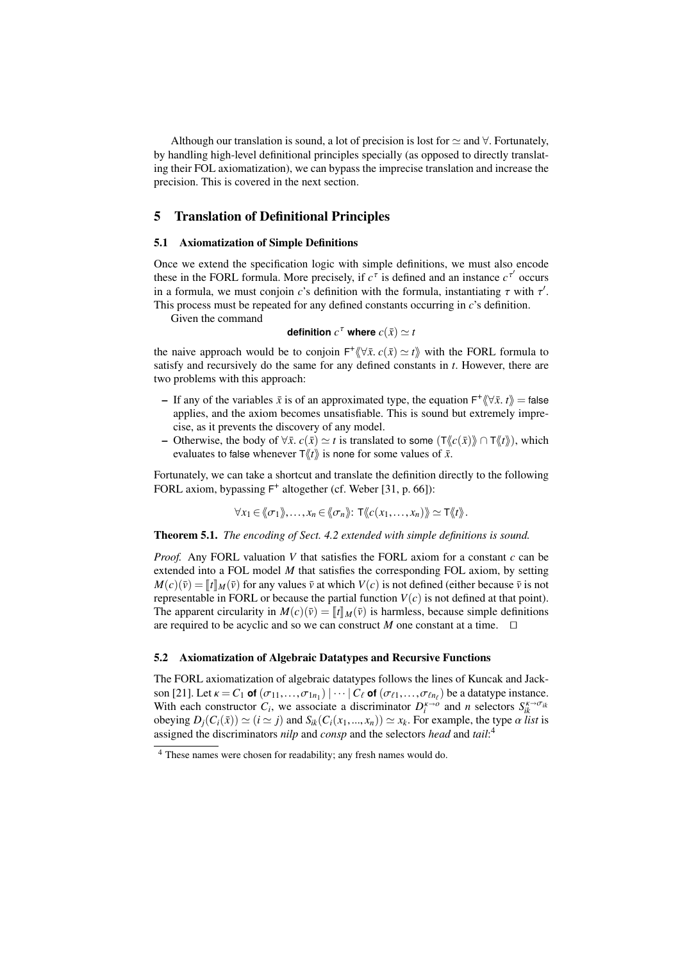Although our translation is sound, a lot of precision is lost for  $\simeq$  and  $\forall$ . Fortunately, by handling high-level definitional principles specially (as opposed to directly translating their FOL axiomatization), we can bypass the imprecise translation and increase the precision. This is covered in the next section.

# 5 Translation of Definitional Principles

## 5.1 Axiomatization of Simple Definitions

Once we extend the specification logic with simple definitions, we must also encode these in the FORL formula. More precisely, if  $c^{\tau}$  is defined and an instance  $c^{\tau'}$  occurs in a formula, we must conjoin *c*'s definition with the formula, instantiating  $\tau$  with  $\tau'$ .<br>This process must be repeated for any defined constants occurring in *c*'s definition This process must be repeated for any defined constants occurring in *c*'s definition.

Given the command

definition 
$$
c^{\tau}
$$
 where  $c(\bar{x}) \simeq t$ 

the naive approach would be to conjoin  $F^* \langle \nabla \bar{x}, c(\bar{x}) \simeq t \rangle$  with the FORL formula to satisfy and recursively do the same for any defined constants in t. However, there are satisfy and recursively do the same for any defined constants in *t*. However, there are two problems with this approach:

- $\overrightarrow{F}$  If any of the variables  $\overline{x}$  is of an approximated type, the equation  $\overrightarrow{F}$ <sup>\*</sup>  $(\forall \overline{x}, t)$  = false applies, and the axiom becomes unsatisfiable. This is sound but extremely impreapplies, and the axiom becomes unsatisfiable. This is sound but extremely imprecise, as it prevents the discovery of any model.
- Otherwise, the body of  $\forall \bar{x}$ .  $c(\bar{x}) \simeq t$  is translated to some  $(\top \langle c(\bar{x}) \rangle \cap \top \langle t \rangle)$ , which evaluates to false whenever  $\overline{T}\langle t \rangle$  is none for some values of  $\overline{x}$ .

Fortunately, we can take a shortcut and translate the definition directly to the following FORL axiom, bypassing  $F^+$  altogether (cf. Weber [31, p. 66]):

$$
\forall x_1 \in \langle\!\langle \sigma_1 \rangle\!\rangle, \ldots, x_n \in \langle\!\langle \sigma_n \rangle\!\rangle: \mathsf{T} \langle\!\langle c(x_1, \ldots, x_n) \rangle\!\rangle \simeq \mathsf{T} \langle\!\langle t \rangle\!\rangle.
$$

Theorem 5.1. *The encoding of Sect. 4.2 extended with simple definitions is sound.*

*Proof.* Any FORL valuation *V* that satisfies the FORL axiom for a constant *c* can be extended into a FOL model *M* that satisfies the corresponding FOL axiom, by setting  $M(c)(\bar{v}) = [t]_M(\bar{v})$  for any values  $\bar{v}$  at which  $V(c)$  is not defined (either because  $\bar{v}$  is not representable in FORL or because the partial function  $V(c)$  is not defined at that point). The apparent circularity in  $M(c)(\bar{v}) = ||t||_M(\bar{v})$  is harmless, because simple definitions are required to be acyclic and so we can construct *M* one constant at a time.  $\square$ 

## 5.2 Axiomatization of Algebraic Datatypes and Recursive Functions

The FORL axiomatization of algebraic datatypes follows the lines of Kuncak and Jackson [21]. Let <sup>κ</sup> <sup>=</sup> *<sup>C</sup>*<sup>1</sup> **of** (σ11,...,σ1*n*<sup>1</sup> ) | ··· | *<sup>C</sup>*` **of** (σ`1,...,σ`*n*` ) be a datatype instance. With each constructor  $C_i$ , we associate a discriminator  $D_i^{\kappa \to o}$  and *n* selectors  $S_{ik}^{\kappa \to \sigma_{ik}}$ obeying  $D_i(C_i(\bar{x})) \simeq (i \simeq j)$  and  $S_{ik}(C_i(x_1,...,x_n)) \simeq x_k$ . For example, the type  $\alpha$  *list* is assigned the discriminators *nilp* and *consp* and the selectors *head* and *tail*: 4

<sup>4</sup> These names were chosen for readability; any fresh names would do.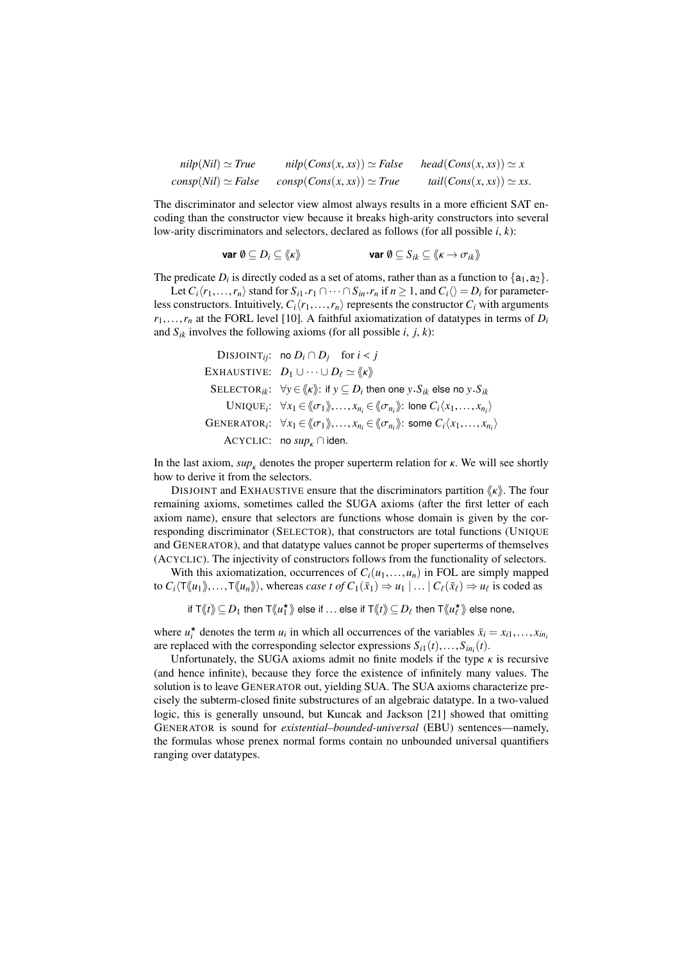$$
nilp(Nil) \simeq True \qquad nilp(Cons(x, xs)) \simeq False \qquad head(Cons(x, xs)) \simeq x
$$
  

$$
consp(Nil) \simeq False \qquad consp(Cons(x, xs)) \simeq True \qquad tail(Cons(x, xs)) \simeq xs.
$$

The discriminator and selector view almost always results in a more efficient SAT encoding than the constructor view because it breaks high-arity constructors into several low-arity discriminators and selectors, declared as follows (for all possible *i*, *k*):

$$
\text{var } \emptyset \subseteq D_i \subseteq \langle \! \langle \kappa \rangle \! \rangle \qquad \text{var } \emptyset \subseteq S_{ik} \subseteq \langle \! \langle \kappa \to \sigma_{ik} \rangle \! \rangle
$$

The predicate  $D_i$  is directly coded as a set of atoms, rather than as a function to  $\{a_1, a_2\}$ .<br>Let  $C(x_i, \ldots, x_i)$  stand for  $S_i$ ,  $x_i \cap \ldots \cap S_i$ ,  $x_i$  if  $n \ge 1$  and  $C_i \setminus D_i$  for parameter.

Let  $C_i \langle r_1, \ldots, r_n \rangle$  stand for  $S_{i1} \cdot r_1 \cap \cdots \cap S_{in} \cdot r_n$  if  $n \ge 1$ , and  $C_i \langle \rangle = D_i$  for parameter-<br>constructors. Intuitively  $C_i \cdot r_i$  is parameters the constructor  $C_i$  with arguments less constructors. Intuitively,  $C_i\langle r_1,\ldots,r_n\rangle$  represents the constructor  $C_i$  with arguments  $r_1, \ldots, r_n$  at the FORL level [10]. A faithful axiomatization of datatypes in terms of  $D_i$ and  $S_{ik}$  involves the following axioms (for all possible *i*, *j*, *k*):

\n
$$
\text{DISJONT}_{ij}: \text{ no } D_i \cap D_j \quad \text{for } i < j
$$
\n

\n\n
$$
\text{EXHAVSTIVE:} \quad D_1 \cup \cdots \cup D_\ell \simeq \langle k \rangle
$$
\n

\n\n
$$
\text{SELECTOR}_{ik}: \ \forall y \in \langle k \rangle \colon \text{if } y \subseteq D_i \text{ then one } y \cdot S_{ik} \text{ else no } y \cdot S_{ik}
$$
\n

\n\n
$$
\text{UNIQUE}_i: \ \forall x_1 \in \langle \sigma_1 \rangle, \ldots, x_{n_i} \in \langle \sigma_{n_i} \rangle \colon \text{bone } C_i \langle x_1, \ldots, x_{n_i} \rangle
$$
\n

\n\n
$$
\text{GENERALTOR}_i: \ \forall x_1 \in \langle \sigma_1 \rangle, \ldots, x_{n_i} \in \langle \sigma_{n_i} \rangle \colon \text{some } C_i \langle x_1, \ldots, x_{n_i} \rangle
$$
\n

\n\n
$$
\text{ACYCLIC:} \ \text{no } \text{sup}_k \cap \text{iden.}
$$
\n

In the last axiom,  $\sup_{k}$  denotes the proper superterm relation for  $\kappa$ . We will see shortly how to derive it from the selectors.

DISJOINT and EXHAUSTIVE ensure that the discriminators partition  $\langle k \rangle$ . The four remaining axioms, sometimes called the SUGA axioms (after the first letter of each axiom name), ensure that selectors are functions whose domain is given by the corresponding discriminator (SELECTOR), that constructors are total functions (UNIQUE and GENERATOR), and that datatype values cannot be proper superterms of themselves (ACYCLIC). The injectivity of constructors follows from the functionality of selectors.

With this axiomatization, occurrences of  $C_i(u_1,...,u_n)$  in FOL are simply mapped to  $C_i \langle \text{T} \langle u_1 \rangle, \ldots, \text{T} \langle u_n \rangle \rangle$ , whereas *case t of*  $C_1(\bar{x}_1) \Rightarrow u_1 \mid \ldots \mid C_\ell(\bar{x}_\ell) \Rightarrow u_\ell$  is coded as

```
if \bm{\top}\langle\!\langle t\rangle\!\rangle\subseteq D_1 then \bm{\top}\langle\!\langle u_1^\star\rangle\!\rangle else if \ldots else if \bm{\top}\langle\!\langle t\rangle\!\rangle\subseteq D_\ell then \bm{\top}\langle\!\langle u_\ell^\star\rangle\!\rangle else none,
```
where  $u_i^*$  denotes the term  $u_i$  in which all occurrences of the variables  $\bar{x}_i = x_{i1},...,x_{in_i}$ <br>are replaced with the corresponding selector expressions  $S_{i}(t) = S_{i}(t)$ are replaced with the corresponding selector expressions  $S_{i1}(t),...,S_{in_i}(t)$ .<br>
Unfortunately the SUGA axioms admit no finite models if the type

Unfortunately, the SUGA axioms admit no finite models if the type  $\kappa$  is recursive (and hence infinite), because they force the existence of infinitely many values. The solution is to leave GENERATOR out, yielding SUA. The SUA axioms characterize precisely the subterm-closed finite substructures of an algebraic datatype. In a two-valued logic, this is generally unsound, but Kuncak and Jackson [21] showed that omitting GENERATOR is sound for *existential–bounded-universal* (EBU) sentences—namely, the formulas whose prenex normal forms contain no unbounded universal quantifiers ranging over datatypes.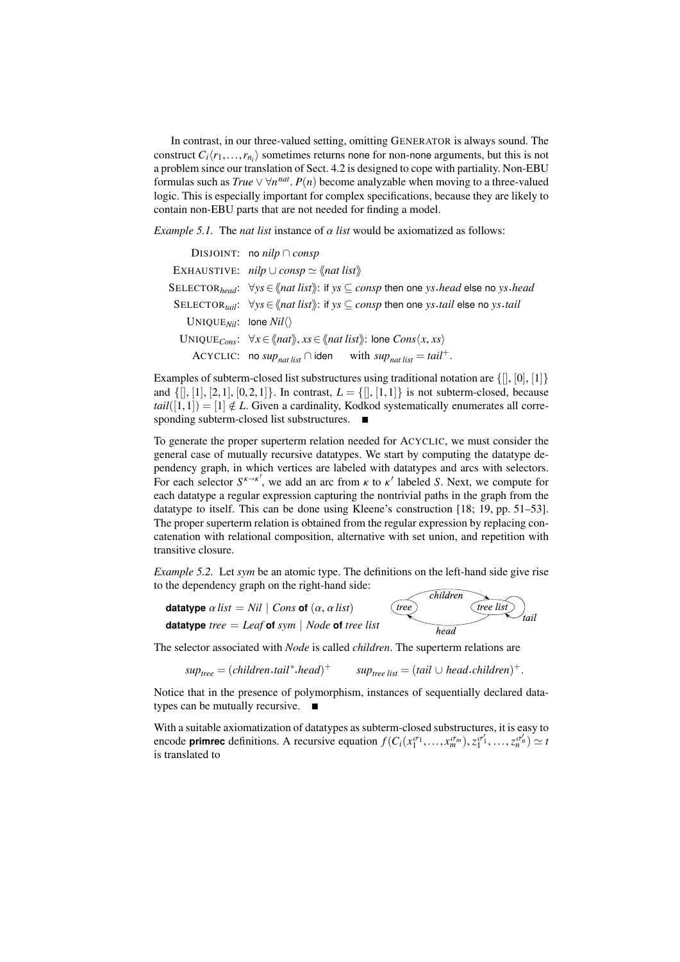In contrast, in our three-valued setting, omitting GENERATOR is always sound. The construct  $C_i\langle r_1,\ldots,r_{n_i}\rangle$  sometimes returns none for non-none arguments, but this is not<br>a problem since our translation of Sect 4.2 is designed to cone with partiality Non-ERU a problem since our translation of Sect. 4.2 is designed to cope with partiality. Non-EBU formulas such as  $True \vee \forall n^{nat}$ .  $P(n)$  become analyzable when moving to a three-valued logic. This is especially important for complex specifications, because they are likely to logic. This is especially important for complex specifications, because they are likely to contain non-EBU parts that are not needed for finding a model.

*Example 5.1.* The *nat list* instance of  $\alpha$  *list* would be axiomatized as follows:

|                                                  | DISJOINT: no nilp $\cap$ consp                                                                                                                                       |  |  |
|--------------------------------------------------|----------------------------------------------------------------------------------------------------------------------------------------------------------------------|--|--|
|                                                  | EXHAUSTIVE: $nilp \cup consp \simeq \langle nat\; list \rangle$                                                                                                      |  |  |
|                                                  | SELECTOR <sub>head</sub> : $\forall y s \in \langle$ <i>nat list</i> $\rangle$ : if $ys \subseteq \text{consp}$ then one ys. <i>head</i> else no ys. <i>head</i>     |  |  |
|                                                  | SELECTOR <sub>tail</sub> : $\forall y s \in \langle n \text{at list} \rangle$ : if $ys \subseteq \text{cons} p$ then one $ys \text{.tail}$ else no $ys \text{.tail}$ |  |  |
| UNIQUE <sub>Nil</sub> : lone $Nil\langle\rangle$ |                                                                                                                                                                      |  |  |
|                                                  | UNIQUE <sub>Cons</sub> : $\forall x \in \langle \mathit{nat} \rangle, xs \in \langle \mathit{nat list} \rangle$ : lone Cons $\langle x, xs \rangle$                  |  |  |
|                                                  | ACYCLIC: no sup <sub>nat list</sub> $\cap$ iden with sup <sub>nat list</sub> = tail <sup>+</sup> .                                                                   |  |  |
|                                                  |                                                                                                                                                                      |  |  |

Examples of subterm-closed list substructures using traditional notation are  $\{[] , [0], [1]\}$ and  $\{[], [1], [2, 1], [0, 2, 1]\}$ . In contrast,  $L = \{[], [1, 1]\}$  is not subterm-closed, because  $tail([1,1]) = [1] \notin L$ . Given a cardinality, Kodkod systematically enumerates all corresponding subterm-closed list substructures.  $\blacksquare$ 

To generate the proper superterm relation needed for ACYCLIC, we must consider the general case of mutually recursive datatypes. We start by computing the datatype dependency graph, in which vertices are labeled with datatypes and arcs with selectors. For each selector  $S^{k\to k'}$ , we add an arc from  $k$  to  $k'$  labeled *S*. Next, we compute for each datatype a regular expression capturing the nontrivial paths in the graph from the datatype to itself. This can be done using Kleene's construction [18; 19, pp. 51–53]. The proper superterm relation is obtained from the regular expression by replacing concatenation with relational composition, alternative with set union, and repetition with transitive closure.

*Example 5.2.* Let *sym* be an atomic type. The definitions on the left-hand side give rise to the dependency graph on the right-hand side:  $\widehat{children}$ 

$$
\text{datatype } \alpha \text{ list} = Nil \mid \text{Cons of } (\alpha, \alpha \text{ list})
$$
\n
$$
\text{datatype } \text{ tree} = \text{Leaf of } \text{sym} \mid \text{Node of } \text{ tree} \text{ list}
$$
\n
$$
\text{head} \quad \text{head}
$$

The selector associated with *Node* is called *children*. The superterm relations are

$$
suptree = (children.tail*.head)+ \qquad suptree list = (tail \cup head.children)+
$$

Notice that in the presence of polymorphism, instances of sequentially declared datatypes can be mutually recursive. ■

With a suitable axiomatization of datatypes as subterm-closed substructures, it is easy to encode **primrec** definitions. A recursive equation  $f(C_i(x_1^{\sigma_1},...,x_m^{\sigma_m}), z_1^{\sigma'_1},..., z_n^{\sigma'_n}) \simeq t$ <br>is translated to is translated to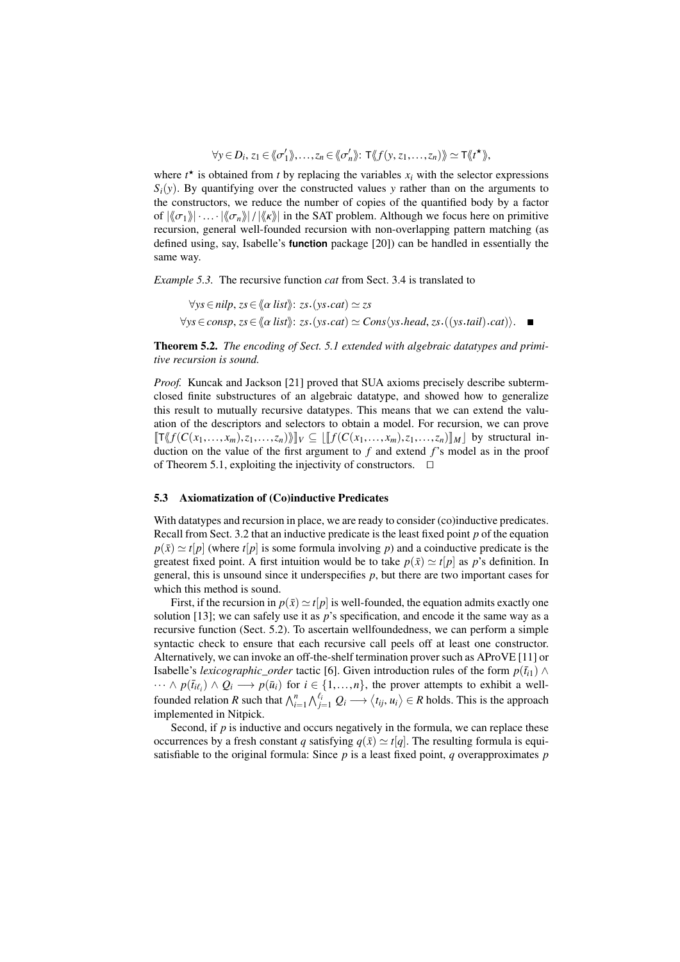$$
\forall y \in D_i, z_1 \in \langle \langle \sigma'_1 \rangle, \ldots, z_n \in \langle \langle \sigma'_n \rangle \rangle: \mathsf{T} \langle \langle f(y, z_1, \ldots, z_n) \rangle \rangle \simeq \mathsf{T} \langle \langle t^{\star} \rangle \rangle,
$$

where  $t^*$  is obtained from  $t$  by replacing the variables  $x_i$  with the selector expressions  $S_i(y)$ . By quantifying over the constructed values *y* rather than on the arguments to the constructors, we reduce the number of copies of the quantified body by a factor of  $|\langle \sigma_1 \rangle| \cdot ... \cdot |\langle \sigma_n \rangle| / |\langle \kappa \rangle|$  in the SAT problem. Although we focus here on primitive recursion, general well-founded recursion with non-overlapping pattern matching (as defined using, say, Isabelle's **function** package [20]) can be handled in essentially the same way.

*Example 5.3.* The recursive function *cat* from Sect. 3.4 is translated to

 $∀ys ∈ nilp, zs ∈ ∛α list⟩: zs.(ys. cat) ≃ zs$  $∀ys ∈ consp, zs ∈ ∇α list$ ):  $zs.(ys.cat) ≈ Cons(ys. head, zs.((vs. tail).cat)$ . ■

Theorem 5.2. *The encoding of Sect. 5.1 extended with algebraic datatypes and primitive recursion is sound.*

*Proof.* Kuncak and Jackson [21] proved that SUA axioms precisely describe subtermclosed finite substructures of an algebraic datatype, and showed how to generalize this result to mutually recursive datatypes. This means that we can extend the valuation of the descriptors and selectors to obtain a model. For recursion, we can prove  $[\![\mathsf{T}\langle \mathcal{J}(C(x_1,...,x_m),z_1,...,z_n) \rangle \!]\!]_V \subseteq [[\![\mathcal{J}(C(x_1,...,x_m),z_1,...,z_n)] \!]\!]_M$  by structural induction on the value of the first argument to *f* and extend *f*'s model as in the proof of Theorem 5.1, exploiting the injectivity of constructors.  $\Box$ 

## 5.3 Axiomatization of (Co)inductive Predicates

With datatypes and recursion in place, we are ready to consider (co)inductive predicates. Recall from Sect. 3.2 that an inductive predicate is the least fixed point *p* of the equation  $p(\bar{x}) \simeq t[p]$  (where  $t[p]$  is some formula involving *p*) and a coinductive predicate is the greatest fixed point. A first intuition would be to take  $p(\bar{x}) \simeq t[p]$  as p's definition. In general, this is unsound since it underspecifies *p*, but there are two important cases for which this method is sound.

First, if the recursion in  $p(\bar{x}) \simeq t[p]$  is well-founded, the equation admits exactly one solution [13]; we can safely use it as  $p$ 's specification, and encode it the same way as a recursive function (Sect. 5.2). To ascertain wellfoundedness, we can perform a simple syntactic check to ensure that each recursive call peels off at least one constructor. Alternatively, we can invoke an off-the-shelf termination prover such as AProVE [11] or Isabelle's *lexicographic\_order* tactic [6]. Given introduction rules of the form  $p(\bar{t}_{i1}) \wedge$  $\cdots \wedge p(\bar{t}_{i\ell_i}) \wedge Q_i \longrightarrow p(\bar{u}_i)$  for  $i \in \{1, ..., n\}$ , the prover attempts to exhibit a well-<br>founded relation R such that  $\bigwedge_{i=1}^n \bigwedge_{j=1}^{\ell_i} Q_i \longrightarrow \langle t_{ij}, u_i \rangle \in R$  holds. This is the approach<br>implemented in Nitrick implemented in Nitpick.

Second, if  $p$  is inductive and occurs negatively in the formula, we can replace these occurrences by a fresh constant *q* satisfying  $q(\bar{x}) \simeq t[q]$ . The resulting formula is equisatisfiable to the original formula: Since *p* is a least fixed point, *q* overapproximates *p*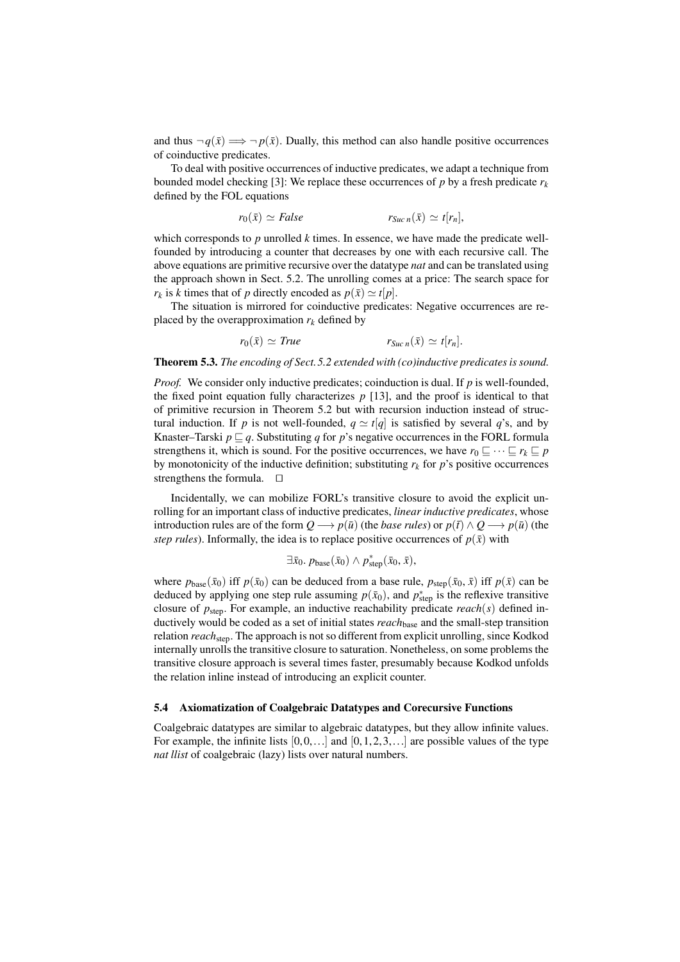and thus  $\neg q(\bar{x}) \Longrightarrow \neg p(\bar{x})$ . Dually, this method can also handle positive occurrences of coinductive predicates.

To deal with positive occurrences of inductive predicates, we adapt a technique from bounded model checking [3]: We replace these occurrences of *p* by a fresh predicate  $r_k$ defined by the FOL equations

$$
r_0(\bar{x}) \simeq False \qquad \qquad r_{Suc n}(\bar{x}) \simeq t[r_n],
$$

which corresponds to *p* unrolled *k* times. In essence, we have made the predicate wellfounded by introducing a counter that decreases by one with each recursive call. The above equations are primitive recursive over the datatype *nat* and can be translated using the approach shown in Sect. 5.2. The unrolling comes at a price: The search space for  $r_k$  is *k* times that of *p* directly encoded as  $p(\bar{x}) \simeq t[p]$ .

The situation is mirrored for coinductive predicates: Negative occurrences are replaced by the overapproximation  $r_k$  defined by

$$
r_0(\bar{x}) \simeq True \qquad \qquad r_{Suc n}(\bar{x}) \simeq t[r_n].
$$

Theorem 5.3. *The encoding of Sect.5.2 extended with (co)inductive predicates is sound.*

*Proof.* We consider only inductive predicates; coinduction is dual. If *p* is well-founded, the fixed point equation fully characterizes  $p$  [13], and the proof is identical to that of primitive recursion in Theorem 5.2 but with recursion induction instead of structural induction. If *p* is not well-founded,  $q \approx t[q]$  is satisfied by several *q*'s, and by Knaster–Tarski  $p \sqsubseteq q$ . Substituting q for p's negative occurrences in the FORL formula strengthens it, which is sound. For the positive occurrences, we have  $r_0 \sqsubseteq \cdots \sqsubseteq r_k \sqsubseteq p$ by monotonicity of the inductive definition; substituting  $r_k$  for  $p$ 's positive occurrences strengthens the formula.  $\Box$ 

Incidentally, we can mobilize FORL's transitive closure to avoid the explicit unrolling for an important class of inductive predicates, *linear inductive predicates*, whose introduction rules are of the form  $Q \rightarrow p(\bar{u})$  (the *base rules*) or  $p(\bar{t}) \wedge Q \rightarrow p(\bar{u})$  (the *step rules*). Informally, the idea is to replace positive occurrences of  $p(\bar{x})$  with

$$
\exists \bar{x}_0. p_{\text{base}}(\bar{x}_0) \wedge p_{\text{step}}^*(\bar{x}_0, \bar{x}),
$$

where  $p_{base}(\bar{x}_0)$  iff  $p(\bar{x}_0)$  can be deduced from a base rule,  $p_{step}(\bar{x}_0, \bar{x})$  iff  $p(\bar{x})$  can be deduced by applying one step rule assuming  $p(\bar{x}_0)$ , and  $p^*_{step}$  is the reflexive transitive closure of *p*step. For example, an inductive reachability predicate *reach*(*s*) defined inductively would be coded as a set of initial states *reach*base and the small-step transition relation *reach*step. The approach is not so different from explicit unrolling, since Kodkod internally unrolls the transitive closure to saturation. Nonetheless, on some problems the transitive closure approach is several times faster, presumably because Kodkod unfolds the relation inline instead of introducing an explicit counter.

## 5.4 Axiomatization of Coalgebraic Datatypes and Corecursive Functions

Coalgebraic datatypes are similar to algebraic datatypes, but they allow infinite values. For example, the infinite lists  $[0,0,...]$  and  $[0,1,2,3,...]$  are possible values of the type *nat llist* of coalgebraic (lazy) lists over natural numbers.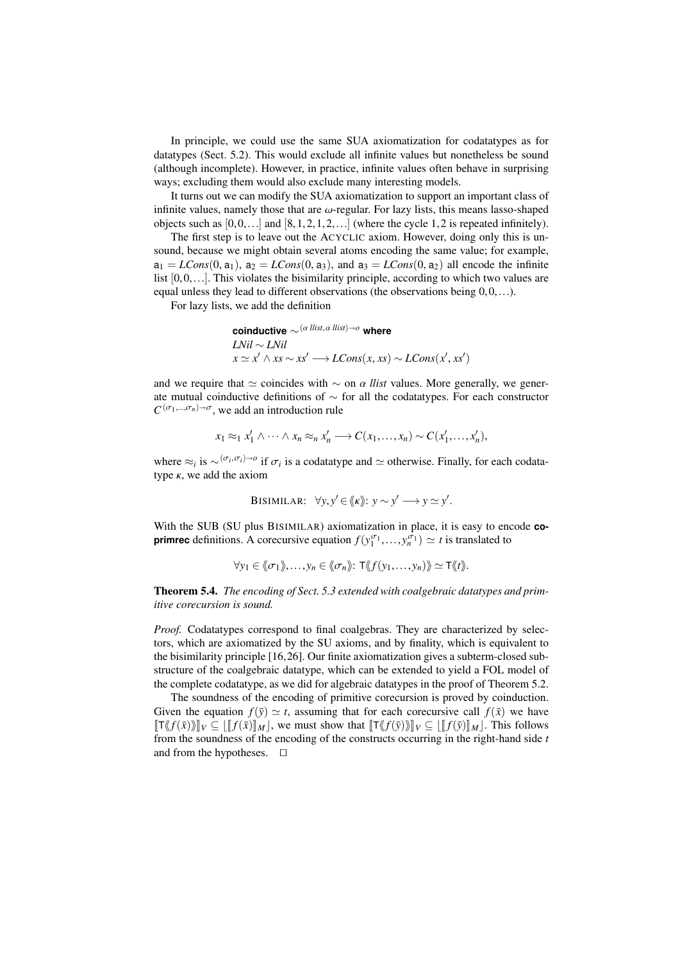In principle, we could use the same SUA axiomatization for codatatypes as for datatypes (Sect. 5.2). This would exclude all infinite values but nonetheless be sound (although incomplete). However, in practice, infinite values often behave in surprising ways; excluding them would also exclude many interesting models.

It turns out we can modify the SUA axiomatization to support an important class of infinite values, namely those that are  $\omega$ -regular. For lazy lists, this means lasso-shaped objects such as  $[0,0,...]$  and  $[8,1,2,1,2,...]$  (where the cycle 1,2 is repeated infinitely).

The first step is to leave out the ACYCLIC axiom. However, doing only this is unsound, because we might obtain several atoms encoding the same value; for example,  $a_1 = LCons(0, a_1), a_2 = LCons(0, a_3),$  and  $a_3 = LCons(0, a_2)$  all encode the infinite list  $[0,0,\ldots]$ . This violates the bisimilarity principle, according to which two values are equal unless they lead to different observations (the observations being  $0,0,...$ ).

For lazy lists, we add the definition

**coinductive** ∼(<sup>α</sup> *llist*,α *llist*)*<sup>o</sup>* **where** *LNil* ∼ *LNil*  $x \simeq x' \wedge xs \sim xs' \longrightarrow LCons(x, xs) \sim LCons(x', xs')$ 

and we require that  $\simeq$  coincides with  $\sim$  on  $\alpha$  *llist* values. More generally, we generate mutual coinductive definitions of ∼ for all the codatatypes. For each constructor  $C^{(\sigma_1,\ldots,\sigma_n)\to\sigma}$ , we add an introduction rule

$$
x_1 \approx_1 x'_1 \land \cdots \land x_n \approx_n x'_n \longrightarrow C(x_1, \ldots, x_n) \sim C(x'_1, \ldots, x'_n),
$$

where  $\approx_i$  is  $\sim^{(\sigma_i, \sigma_i)\to o}$  if  $\sigma_i$  is a codatatype and  $\simeq$  otherwise. Finally, for each codatatype  $\kappa$ , we add the axiom

BISIMILAR: 
$$
\forall y, y' \in \langle \langle \mathbf{k} \rangle : y \sim y' \longrightarrow y \simeq y'.
$$

With the SUB (SU plus BISIMILAR) axiomatization in place, it is easy to encode **coprimrec** definitions. A corecursive equation  $f(y_1^{\sigma_1},..., y_n^{\sigma_n}) \simeq t$  is translated to

$$
\forall y_1 \in \langle\!\langle \sigma_1 \rangle\!\rangle, \ldots, y_n \in \langle\!\langle \sigma_n \rangle\!\rangle: \mathsf{T} \langle\!\langle f(y_1, \ldots, y_n) \rangle\!\rangle \simeq \mathsf{T} \langle\!\langle t \rangle\!\rangle.
$$

Theorem 5.4. *The encoding of Sect. 5.3 extended with coalgebraic datatypes and primitive corecursion is sound.*

*Proof.* Codatatypes correspond to final coalgebras. They are characterized by selectors, which are axiomatized by the SU axioms, and by finality, which is equivalent to the bisimilarity principle [16,26]. Our finite axiomatization gives a subterm-closed substructure of the coalgebraic datatype, which can be extended to yield a FOL model of the complete codatatype, as we did for algebraic datatypes in the proof of Theorem 5.2.

The soundness of the encoding of primitive corecursion is proved by coinduction. Given the equation  $f(\bar{y}) \simeq t$ , assuming that for each corecursive call  $f(\bar{x})$  we have  $\llbracket \mathsf{T}\langle f(\bar{x})\rangle \rrbracket_V \subseteq \llbracket \llbracket f(\bar{x})\rrbracket_M \rrbracket$ , we must show that  $\llbracket \mathsf{T}\langle f(\bar{y})\rangle \rrbracket_V \subseteq \llbracket \llbracket f(\bar{y})\rrbracket_M \rrbracket$ . This follows from the soundness of the encoding of the constructs occurring in the right-hand side *t* and from the hypotheses.  $\Box$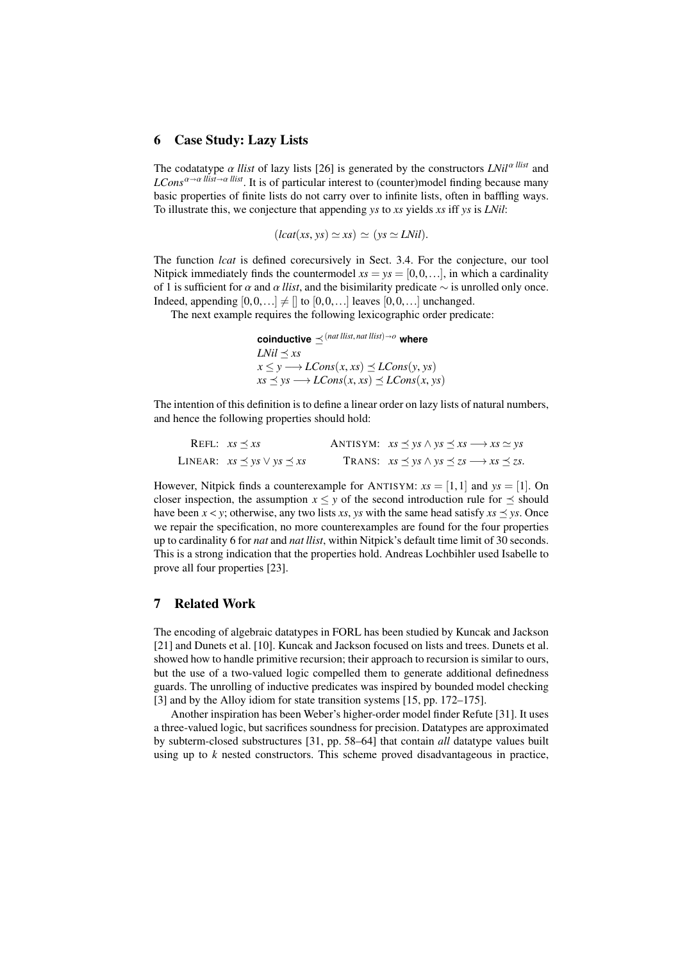## 6 Case Study: Lazy Lists

The codatatype  $\alpha$  *llist* of lazy lists [26] is generated by the constructors *LNil*<sup> $\alpha$  *llist*</sup> and  $LCons^{\alpha\rightarrow\alpha}$  *llist* $\rightarrow \alpha$  *llist*. It is of particular interest to (counter)model finding because many basic properties of finite lists do not carry over to infinite lists, often in baffling ways. To illustrate this, we conjecture that appending *ys* to *xs* yields *xs* iff *ys* is *LNil*:

$$
(lcat(xs, ys) \simeq xs) \simeq (ys \simeq LNil).
$$

The function *lcat* is defined corecursively in Sect. 3.4. For the conjecture, our tool Nitpick immediately finds the countermodel  $xs = ys = [0, 0, \ldots]$ , in which a cardinality of 1 is sufficient for  $\alpha$  and  $\alpha$  *llist*, and the bisimilarity predicate  $\sim$  is unrolled only once. Indeed, appending  $[0,0,...] \neq [$  to  $[0,0,...]$  leaves  $[0,0,...]$  unchanged.

The next example requires the following lexicographic order predicate:

**coinductive**  $\prec$  (*nat llist, nat llist*) $\rightarrow$ o **where** *LNil*  $\prec$  *xs*  $x \leq y \longrightarrow LCons(x, xs) \leq LCons(y, ys)$  $xs \leq ys \rightarrow LCons(x, xs) \leq LCons(x, ys)$ 

The intention of this definition is to define a linear order on lazy lists of natural numbers, and hence the following properties should hold:

| REFL: $xs \prec xs$                    | ANTISYM: $xs \leq ys \land ys \leq xs \longrightarrow xs \simeq ys$        |
|----------------------------------------|----------------------------------------------------------------------------|
| LINEAR: $xs \prec ys \lor ys \prec xs$ | TRANS: $xs \preceq ys \land ys \preceq zs \longrightarrow xs \preceq zs$ . |

However, Nitpick finds a counterexample for ANTISYM:  $xs = [1, 1]$  and  $ys = [1]$ . On closer inspection, the assumption  $x \le y$  of the second introduction rule for  $\preceq$  should have been  $x \le y$ ; otherwise, any two lists *xs*, *ys* with the same head satisfy  $xs \le ys$ . Once we repair the specification, no more counterexamples are found for the four properties up to cardinality 6 for *nat* and *nat llist*, within Nitpick's default time limit of 30 seconds. This is a strong indication that the properties hold. Andreas Lochbihler used Isabelle to prove all four properties [23].

# 7 Related Work

The encoding of algebraic datatypes in FORL has been studied by Kuncak and Jackson [21] and Dunets et al. [10]. Kuncak and Jackson focused on lists and trees. Dunets et al. showed how to handle primitive recursion; their approach to recursion is similar to ours, but the use of a two-valued logic compelled them to generate additional definedness guards. The unrolling of inductive predicates was inspired by bounded model checking [3] and by the Alloy idiom for state transition systems [15, pp. 172–175].

Another inspiration has been Weber's higher-order model finder Refute [31]. It uses a three-valued logic, but sacrifices soundness for precision. Datatypes are approximated by subterm-closed substructures [31, pp. 58–64] that contain *all* datatype values built using up to *k* nested constructors. This scheme proved disadvantageous in practice,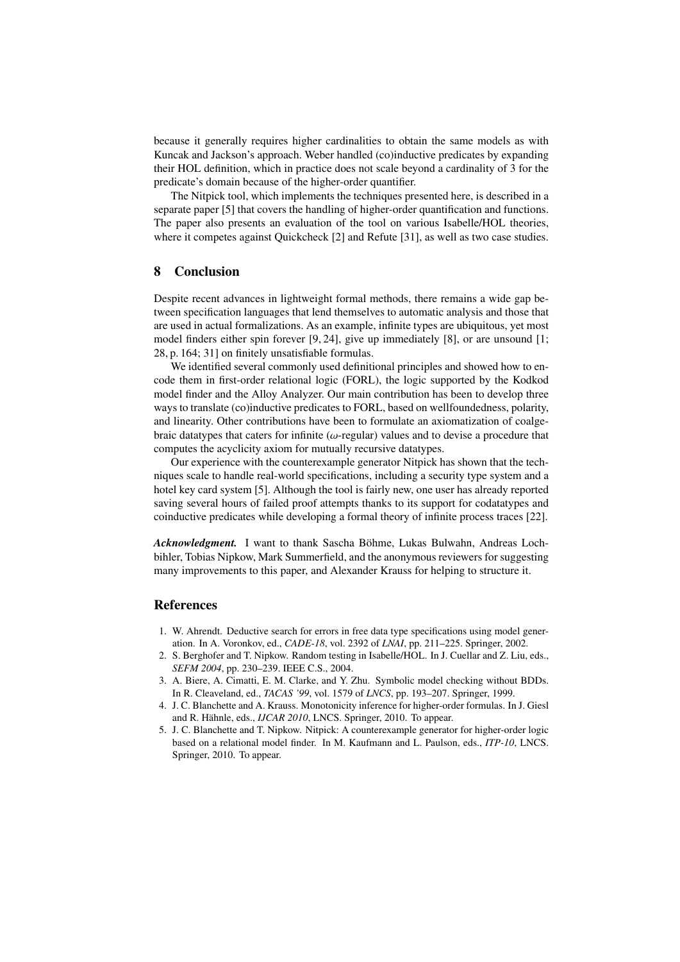because it generally requires higher cardinalities to obtain the same models as with Kuncak and Jackson's approach. Weber handled (co)inductive predicates by expanding their HOL definition, which in practice does not scale beyond a cardinality of 3 for the predicate's domain because of the higher-order quantifier.

The Nitpick tool, which implements the techniques presented here, is described in a separate paper [5] that covers the handling of higher-order quantification and functions. The paper also presents an evaluation of the tool on various Isabelle/HOL theories, where it competes against Quickcheck [2] and Refute [31], as well as two case studies.

# 8 Conclusion

Despite recent advances in lightweight formal methods, there remains a wide gap between specification languages that lend themselves to automatic analysis and those that are used in actual formalizations. As an example, infinite types are ubiquitous, yet most model finders either spin forever [9, 24], give up immediately [8], or are unsound [1; 28, p. 164; 31] on finitely unsatisfiable formulas.

We identified several commonly used definitional principles and showed how to encode them in first-order relational logic (FORL), the logic supported by the Kodkod model finder and the Alloy Analyzer. Our main contribution has been to develop three ways to translate (co)inductive predicates to FORL, based on wellfoundedness, polarity, and linearity. Other contributions have been to formulate an axiomatization of coalgebraic datatypes that caters for infinite ( $\omega$ -regular) values and to devise a procedure that computes the acyclicity axiom for mutually recursive datatypes.

Our experience with the counterexample generator Nitpick has shown that the techniques scale to handle real-world specifications, including a security type system and a hotel key card system [5]. Although the tool is fairly new, one user has already reported saving several hours of failed proof attempts thanks to its support for codatatypes and coinductive predicates while developing a formal theory of infinite process traces [22].

*Acknowledgment.* I want to thank Sascha Böhme, Lukas Bulwahn, Andreas Lochbihler, Tobias Nipkow, Mark Summerfield, and the anonymous reviewers for suggesting many improvements to this paper, and Alexander Krauss for helping to structure it.

## References

- 1. W. Ahrendt. Deductive search for errors in free data type specifications using model generation. In A. Voronkov, ed., *CADE-18*, vol. 2392 of *LNAI*, pp. 211–225. Springer, 2002.
- 2. S. Berghofer and T. Nipkow. Random testing in Isabelle/HOL. In J. Cuellar and Z. Liu, eds., *SEFM 2004*, pp. 230–239. IEEE C.S., 2004.
- 3. A. Biere, A. Cimatti, E. M. Clarke, and Y. Zhu. Symbolic model checking without BDDs. In R. Cleaveland, ed., *TACAS '99*, vol. 1579 of *LNCS*, pp. 193–207. Springer, 1999.
- 4. J. C. Blanchette and A. Krauss. Monotonicity inference for higher-order formulas. In J. Giesl and R. Hähnle, eds., *IJCAR 2010*, LNCS. Springer, 2010. To appear.
- 5. J. C. Blanchette and T. Nipkow. Nitpick: A counterexample generator for higher-order logic based on a relational model finder. In M. Kaufmann and L. Paulson, eds., *ITP-10*, LNCS. Springer, 2010. To appear.